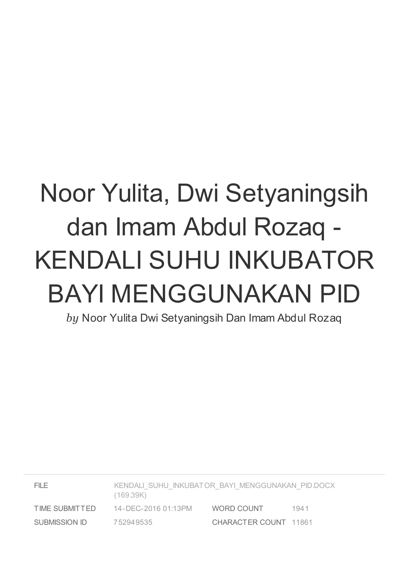# Noor Yulita, Dwi Setyaningsih dan Imam Abdul Rozaq - KENDALI SUHU INKUBATOR BAYI MENGGUNAKAN PID

*by* Noor Yulita Dwi Setyaningsih Dan Imam Abdul Rozaq

| FILE.          | KENDALI SUHU INKUBATOR BAYI MENGGUNAKAN PID.DOCX<br>(169.39K) |                       |      |
|----------------|---------------------------------------------------------------|-----------------------|------|
| TIME SUBMITTED | 14-DEC-2016 01:13PM                                           | WORD COUNT            | 1941 |
| SUBMISSION ID  | 752949535                                                     | CHARACTER COUNT 11861 |      |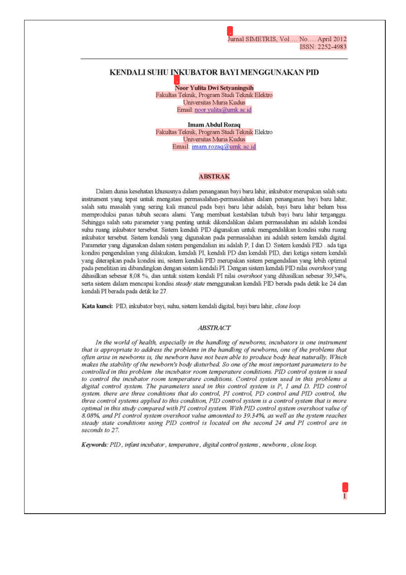#### KENDALI SUHU INKUBATOR BAYI MENGGUNAKAN PID

**Noor Yulita Dwi Setvaningsih** Fakultas Teknik, Program Studi Teknik Elektro Universitas Muria Kudus Email: noor.yulita@umk.ac.id

**Imam Abdul Rozag** Fakultas Teknik, Program Studi Teknik Elektro Universitas Muria Kudus Email: imam.rozaq@umk.ac.id

#### **ABSTRAK**

Dalam dunia kesehatan khususnya dalam penanganan bayi baru lahir, inkubator merupakan salah satu instrument yang tepat untuk mengatasi permasalahan-permasalahan dalam penanganan bayi baru lahir, salah satu masalah yang sering kali muncul pada bayi baru lahir adalah, bayi baru lahir belum bisa memproduksi panas tubuh secara alami. Yang membuat kestabilan tubuh bayi baru lahir terganggu. Sehingga salah satu parameter yang penting untuk dikendalikan dalam permasalahan ini adalah kondisi suhu ruang inkubator tersebut. Sistem kendali PID digunakan untuk mengendalikan kondisi suhu ruang inkubator tersebut. Sistem kendali yang digunakan pada permasalahan ini adalah sistem kendali digital. Parameter yang digunakan dalam sistem pengendalian ini adalah P, I dan D. Sistem kendali PID, ada tiga kondisi pengendalian yang dilakukan, kendali PI, kendali PD dan kendali PID, dari ketiga sistem kendali vang diterapkan pada kondisi ini, sistem kendali PID merupakan sistem pengendalian vang lebih optimal pada penelitian ini dibandingkan dengan sistem kendali PI. Dengan sistem kendali PID nilai overshoot yang dihasilkan sebesar 8,08 %, dan untuk sistem kendali PI nilai overshoot yang dihasilkan sebesar 39,34%, serta sistem dalam mencapai kondisi steady state menggunakan kendali PID berada pada detik ke 24 dan kendali PI berada pada detik ke 27.

Kata kunci: PID, inkubator bayi, suhu, sistem kendali digital, bayi baru lahir, close loop.

#### **ABSTRACT**

In the world of health, especially in the handling of newborns, incubators is one instrument that is appropriate to address the problems in the handling of newborns, one of the problems that often arise in newborns is, the newborn have not been able to produce body heat naturally. Which makes the stability of the newborn's body disturbed. So one of the most important parameters to be controlled in this problem the incubator room temperature conditions. PID control system is used to control the incubator room temperature conditions. Control system used in this problems a digital control system. The parameters used in this control system is P, I and D. PID control system, there are three conditions that do control, PI control, PD control and PID control, the three control systems applied to this condition, PID control system is a control system that is more optimal in this study compared with PI control system. With PID control system overshoot value of 8.08%, and PI control system overshoot value amounted to 39.34%, as well as the system reaches steady state conditions using PID control is located on the second 24 and PI control are in seconds to 27.

Keywords: PID, infant incubator, temperature, digital control systems, newborns, close loop.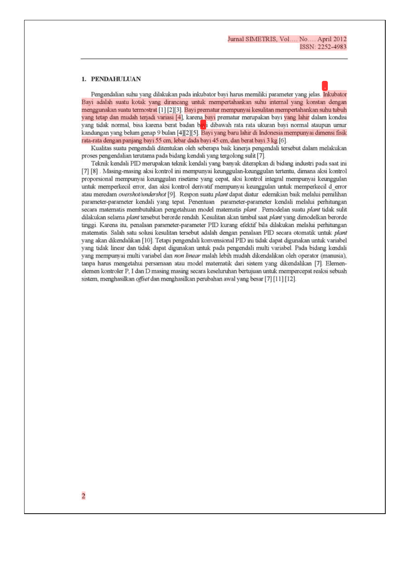#### 1. PENDAHULUAN

Pengendalian suhu yang dilakukan pada inkubator bayi harus memiliki parameter yang jelas. Inkubator Bayi adalah suatu kotak yang dirancang untuk mempertahankan suhu internal yang konstan dengan menggunakan suatu termostrat [1] [2][3]. Bayi prematur mempunyai kesulitan mempertahankan suhu tubuh yang tetap dan mudah terjadi variasi [4], karena bayi prematur merupakan bayi yang lahir dalam kondisi yang tidak normal, bisa karena berat badan bayi dibawah rata rata ukuran bayi normal ataupun umur kandungan yang belum genap 9 bulan [4][2][5]. Bayi yang baru lahir di Indonesia mempunyai dimensi fisik rata-rata dengan panjang bayi 55 cm, lebar dada bayi 45 cm, dan berat bayi 3 kg [6].

Kualitas suatu pengendali ditentukan oleh seberapa baik kinerja pengendali tersebut dalam melakukan proses pengendalian terutama pada bidang kendali yang tergolong sulit [7].

Teknik kendali PID merupakan teknik kendali yang banyak diterapkan di bidang industri pada saat ini [7] [8]. Masing-masing aksi kontrol ini mempunyai keunggulan-keunggulan tertentu, dimana aksi kontrol proporsional mempunyai keunggulan risetime yang cepat, aksi kontrol integral mempunyai keunggulan untuk memperkecil error, dan aksi kontrol derivatif mempunyai keunggulan untuk memperkecil d error atau meredam overshot/undershot [9]. Respon suatu plant dapat diatur edemikian baik melalui pemilihan parameter-parameter kendali yang tepat. Penentuan parameter-parameter kendali melalui perhitungan secara matematis membutuhkan pengetahuan model matematis plant . Pemodelan suatu plant tidak sulit dilakukan selama plant tersebut berorde rendah. Kesulitan akan timbul saat plant yang dimodelkan berorde tinggi. Karena itu, penalaan parameter-parameter PID kurang efektif bila dilakukan melalui perhitungan matematis. Salah satu solusi kesulitan tersebut adalah dengan penalaan PID secara otomatik untuk plant yang akan dikendalikan [10]. Tetapi pengendali konvensional PID ini tidak dapat digunakan untuk variabel yang tidak linear dan tidak dapat digunakan untuk pada pengendali multi variabel. Pada bidang kendali yang mempunyai multi variabel dan non linear malah lebih mudah dikendalikan oleh operator (manusia), tanpa harus mengetahui persamaan atau model matematik dari sistem yang dikendalikan [7]. Elemenelemen kontroler P, I dan D masing masing secara keseluruhan bertujuan untuk mempercepat reaksi sebuah sistem, menghasilkan offset dan menghasilkan perubahan awal yang besar [7] [11] [12].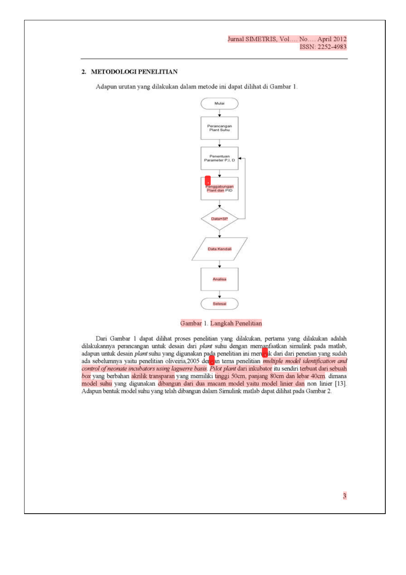#### 2. METODOLOGI PENELITIAN

Adapun urutan yang dilakukan dalam metode ini dapat dilihat di Gambar 1.



Gambar 1. Langkah Penelitian

Dari Gambar 1 dapat dilihat proses penelitian yang dilakukan, pertama yang dilakukan adalah dilakukannya perancangan untuk desain dari plant suhu dengan memanfaatkan simulink pada matlab, adapun untuk desain plant suhu yang digunakan pada penelitian ini merupak dari dari penetian yang sudah ada sebelumnya yaitu penelitian oliveiria, 2005 dengan tema penelitian multiple model identification and control of neonate incubators using laguerre basis. Pilot plant dari inkubator itu sendiri terbuat dari sebuah box yang berbahan akrilik transparan yang memiliki tinggi 50cm, panjang 80cm dan lebar 40cm dimana model suhu yang digunakan dibangun dari dua macam model yaitu model linier dan non linier [13]. Adapun bentuk model suhu yang telah dibangun dalam Simulink matlab dapat dilihat pada Gambar 2.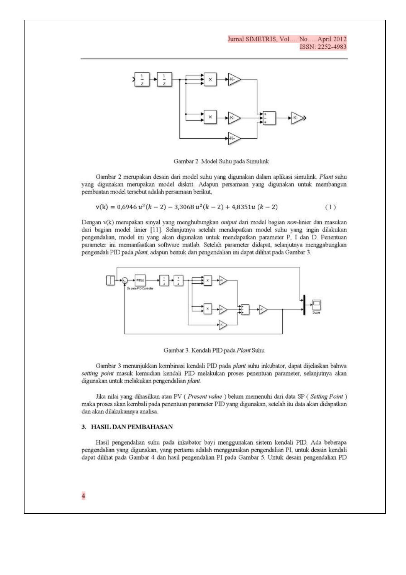#### Jurnal SIMETRIS, Vol.... No.... April 2012 ISSN: 2252-4983



Gambar 2. Model Suhu pada Simulink

Gambar 2 merupakan desain dari model suhu yang digunakan dalam aplikasi simulink. Plant suhu yang digunakan merupakan model diskrit. Adapun persamaan yang digunakan untuk membangun pembuatan model tersebut adalah persamaan berikut,

$$
v(k) = 0.6946 u3(k-2) - 3.3068 u2(k-2) + 4.8351u (k-2)
$$
 (1)

Dengan v(k) merupakan sinyal yang menghubungkan output dari model bagian non-linier dan masukan dari bagian model linier [11]. Selanjutnya setelah mendapatkan model suhu yang ingin dilakukan pengendalian, model ini yang akan digunakan untuk mendapatkan parameter P, I dan D. Penentuan parameter ini memanfaatkan software matlab. Setelah parameter didapat, selanjutnya menggabungkan pengendali PID pada plant, adapun bentuk dari pengendalian ini dapat dilihat pada Gambar 3.



Gambar 3. Kendali PID pada Plant Suhu

Gambar 3 menunjukkan kombinasi kendali PID pada *plant* suhu inkubator, dapat dijelaskan bahwa setting point masuk kemudian kendali PID melakukan proses penentuan parameter, selanjutnya akan digunakan untuk melakukan pengendalian plant.

Jika nilai yang dihasilkan atau PV (Present value) belum memenuhi dari data SP (Setting Point) maka proses akan kembali pada penentuan parameter PID yang digunakan, setelah itu data akan didapatkan dan akan dilakukannya analisa.

#### 3. HASIL DAN PEMBAHASAN

Hasil pengendalian suhu pada inkubator bayi menggunakan sistem kendali PID. Ada beberapa pengendalian yang digunakan, yang pertama adalah menggunakan pengendalian PI, untuk desain kendali dapat dilihat pada Gambar 4 dan hasil pengendalian PI pada Gambar 5. Untuk desain pengendalian PD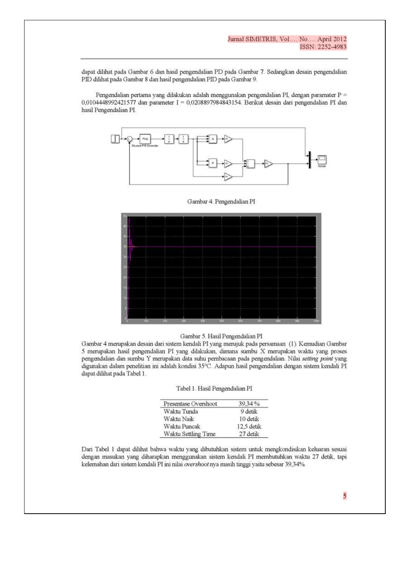dapat dilihat pada Gambar 6 dan hasil pengendalian PD pada Gambar 7. Sedangkan desain pengendalian PID dilihat pada Gambar 8 dan hasil pengendalian PID pada Gambar 9.

Pengendalian pertama yang dilakukan adalah menggunakan pengendalian PI, dengan paramater P = 0,0104448992421577 dan parameter I = 0,0208897984843154. Berikut desain dari pengendalian PI dan hasil Pengendalian PI.



#### Gambar 4. Pengendalian PI



#### Gambar 5. Hasil Pengendalian PI

Gambar 4 merupakan desain dari sistem kendali PI yang merujuk pada persamaan (1). Kemudian Gambar 5 merupakan hasil pengendalian PI yang dilakukan, dimana sumbu X merupakan waktu yang proses pengendalian dan sumbu Y merupakan data suhu pembacaan pada pengendalian. Nilai setting point yang digunakan dalam penelitian ini adalah kondisi 35°C. Adapun hasil pengendalian dengan sistem kendali PI dapat dilihat pada Tabel 1.

|  | Tabel 1. Hasil Pengendalian PI |
|--|--------------------------------|
|  |                                |

| Presentase Overshoot | 39,34%     |
|----------------------|------------|
| Waktu Tunda          | 9 detik    |
| Waktu Naik           | 10 detik   |
| Waktu Puncak         | 12.5 detik |
| Waktu Settling Time  | 27 detik   |
|                      |            |

Dari Tabel 1 dapat dilihat bahwa waktu yang dibutuhkan sistem untuk mengkondisikan keluaran sesuai dengan masukan yang diharapkan menggunakan sistem kendali PI membutuhkan waktu 27 detik, tapi kelemahan dari sistem kendali PI ini nilai overshoot nya masih tinggi yaitu sebesar 39,34%.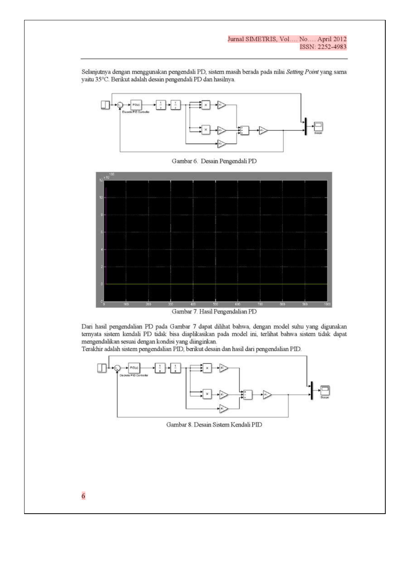#### Jurnal SIMETRIS, Vol.... No.... April 2012 ISSN: 2252-4983

Selanjutnya dengan menggunakan pengendali PD, sistem masih berada pada nilai Setting Point yang sama yaitu 35°C. Berikut adalah desain pengendali PD dan hasilnya.



Gambar 6. Desain Pengendali PD



Gambar 7. Hasil Pengendalian PD

Dari hasil pengendalian PD pada Gambar 7 dapat dilihat bahwa, dengan model suhu yang digunakan ternyata sistem kendali PD tidak bisa diaplikasikan pada model ini, terlihat bahwa sistem tidak dapat mengendalikan sesuai dengan kondisi yang diinginkan.

Terakhir adalah sistem pengendalian PID, berikut desain dan hasil dari pengendalian PID.



Gambar 8. Desain Sistem Kendali PID

 $\overline{6}$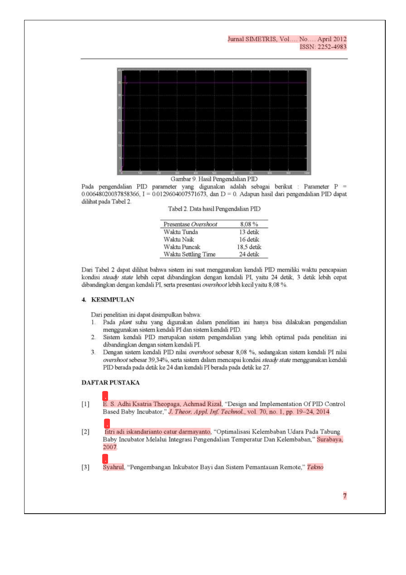

Gambar 9. Hasil Pengendalian PID

Pada pengendalian PID parameter yang digunakan adalah sebagai berikut : Parameter P =  $0.00648020037858366$ , I = 0.0129604007571673, dan D = 0. Adapun hasil dari pengendalian PID dapat dilihat pada Tabel 2.

Tabel 2. Data hasil Pengendalian PID

| Presentase Overshoot | 8.08%      |
|----------------------|------------|
| Waktu Tunda          | 13 detik   |
| Waktu Naik           | 16 detik   |
| Waktu Puncak         | 18.5 detik |
| Waktu Settling Time  | 24 detik   |

Dari Tabel 2 dapat dilihat bahwa sistem ini saat menggunakan kendali PID memiliki waktu pencapaian kondisi steady state lebih cepat dibandingkan dengan kendali PI, yaitu 24 detik, 3 detik lebih cepat dibandingkan dengan kendali PI, serta presentasi overshoot lebih kecil yaitu 8,08 %.

#### 4. KESIMPULAN

Dari penelitian ini dapat disimpulkan bahwa:

- 1. Pada plant suhu yang digunakan dalam penelitian ini hanya bisa dilakukan pengendalian menggunakan sistem kendali PI dan sistem kendali PID.
- 2. Sistem kendali PID merupakan sistem pengendalian yang lebih optimal pada penelitian ini dibandingkan dengan sistem kendali PI.
- 3. Dengan sistem kendali PID nilai overshoot sebesar 8,08 %, sedangakan sistem kendali PI nilai overshoot sebesar 39,34%, serta sistem dalam mencapai kondisi steady state menggunakan kendali PID berada pada detik ke 24 dan kendali PI berada pada detik ke 27.

#### **DAFTAR PUSTAKA**

- $[1]$ E. S. Adhi Ksatria Theopaga, Achmad Rizal, "Design and Implementation Of PID Control Based Baby Incubator," J. Theor. Appl. Inf. Technol., vol. 70, no. 1, pp. 19-24, 2014.
- fitri adi iskandarianto catur darmayanto, "Optimalisasi Kelembaban Udara Pada Tabung  $[2]$ Baby Incubator Melalui Integrasi Pengendalian Temperatur Dan Kelembaban," Surabaya, 2007

Syahrul, "Pengembangan Inkubator Bayi dan Sistem Pemantauan Remote," Tekno  $[3]$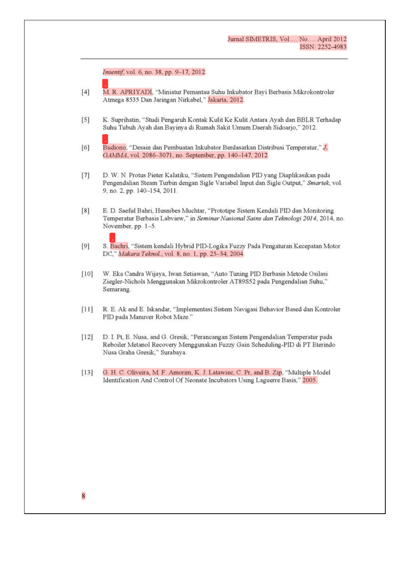Insentif, vol. 6, no. 38, pp. 9-17, 2012.

- $[4]$ M. R. APRIYADI, "Miniatur Pemantau Suhu Inkubator Bayi Berbasis Mikrokontroler Atmega 8535 Dan Jaringan Nirkabel," Jakarta, 2012.
- $[5]$ K. Suprihatin, "Studi Pengaruh Kontak Kulit Ke Kulit Antara Ayah dan BBLR Terhadap Suhu Tubuh Ayah dan Bayinya di Rumah Sakit Umum Daerah Sidoarjo," 2012.
- $[6]$ Budiono, "Desain dan Pembuatan Inkubator Berdasarkan Distribusi Temperatur," J. GAMMA, vol. 2086-3071, no. September, pp. 140-147, 2012.
- $[7]$ D. W. N. Protus Pieter Kalatiku, "Sistem Pengendalian PID yang Diaplikasikan pada Pengendalian Steam Turbin dengan Sigle Variabel Input dan Sigle Output," Smartek, vol. 9, no. 2, pp. 140-154, 2011.
- E. D. Saeful Bahri, Husnibes Muchtar, "Prototipe Sistem Kendali PID dan Monitoring  $[8]$ Temperatur Berbasis Labview," in Seminar Nasional Sains dan Teknologi 2014, 2014, no. November, pp. 1-5.
- $[9]$ S. Bachri, "Sistem kendali Hybrid PID-Logika Fuzzy Pada Pengaturan Kecepatan Motor DC," Makara Teknol., vol. 8, no. 1, pp. 25-34, 2004.
- $[10]$ W. Eka Candra Wijaya, Iwan Setiawan, "Auto Tuning PID Berbasis Metode Osilasi Ziegler-Nichols Menggunakan Mikrokontroler AT89S52 pada Pengendalian Suhu," Semarang.
- $[11]$ R. E. Ak and E. Iskandar, "Implementasi Sistem Navigasi Behavior Based dan Kontroler PID pada Manuver Robot Maze."
- $[12]$ D. I. Pt, E. Nusa, and G. Gresik, "Perancangan Sistem Pengendalian Temperatur pada Reboiler Metanol Recovery Menggunakan Fuzzy Gain Scheduling-PID di PT Eterindo Nusa Graha Gresik," Surabaya.
- $[13]$ G. H. C. Oliveira, M. F. Amorim, K. J. Latawiec, C. Pr, and B. Zip, "Multiple Model Identification And Control Of Neonate Incubators Using Laguerre Basis," 2005.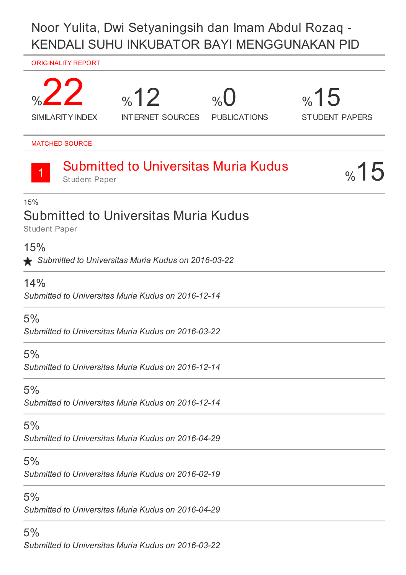# Noor Yulita, Dwi Setyaningsih dan Imam Abdul Rozaq - KENDALI SUHU INKUBATOR BAYI MENGGUNAKAN PID

#### ORIGINALITY REPORT



5% *Submitted to Universitas Muria Kudus on 2016-03-22*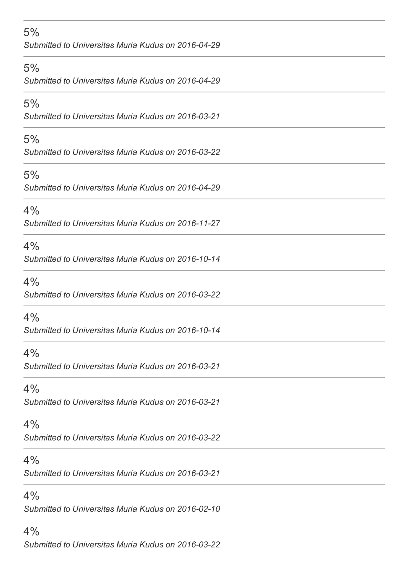### 5%

*Submitted to Universitas Muria Kudus on 2016-04-29*

#### 5%

*Submitted to Universitas Muria Kudus on 2016-04-29*

#### 5%

*Submitted to Universitas Muria Kudus on 2016-03-21*

#### 5%

*Submitted to Universitas Muria Kudus on 2016-03-22*

### 5%

*Submitted to Universitas Muria Kudus on 2016-04-29*

### $4%$

*Submitted to Universitas Muria Kudus on 2016-11-27*

#### 4%

*Submitted to Universitas Muria Kudus on 2016-10-14*

### 4%

*Submitted to Universitas Muria Kudus on 2016-03-22*

#### $4%$

*Submitted to Universitas Muria Kudus on 2016-10-14*

### 4%

*Submitted to Universitas Muria Kudus on 2016-03-21*

### $4%$

*Submitted to Universitas Muria Kudus on 2016-03-21*

#### $4%$

*Submitted to Universitas Muria Kudus on 2016-03-22*

### $4%$

*Submitted to Universitas Muria Kudus on 2016-03-21*

### $4%$

*Submitted to Universitas Muria Kudus on 2016-02-10*

### $4%$

*Submitted to Universitas Muria Kudus on 2016-03-22*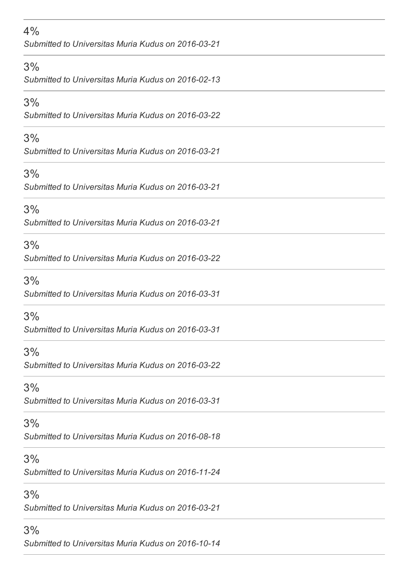### 4%

*Submitted to Universitas Muria Kudus on 2016-03-21*

#### 3%

*Submitted to Universitas Muria Kudus on 2016-02-13*

#### 3%

*Submitted to Universitas Muria Kudus on 2016-03-22*

### 3%

*Submitted to Universitas Muria Kudus on 2016-03-21*

# 3%

*Submitted to Universitas Muria Kudus on 2016-03-21*

# 3%

*Submitted to Universitas Muria Kudus on 2016-03-21*

# 3%

*Submitted to Universitas Muria Kudus on 2016-03-22*

# 3%

*Submitted to Universitas Muria Kudus on 2016-03-31*

# 3%

*Submitted to Universitas Muria Kudus on 2016-03-31*

# 3%

*Submitted to Universitas Muria Kudus on 2016-03-22*

# 3%

*Submitted to Universitas Muria Kudus on 2016-03-31*

### 3%

*Submitted to Universitas Muria Kudus on 2016-08-18*

# 3%

*Submitted to Universitas Muria Kudus on 2016-11-24*

# 3%

*Submitted to Universitas Muria Kudus on 2016-03-21*

# 3%

*Submitted to Universitas Muria Kudus on 2016-10-14*